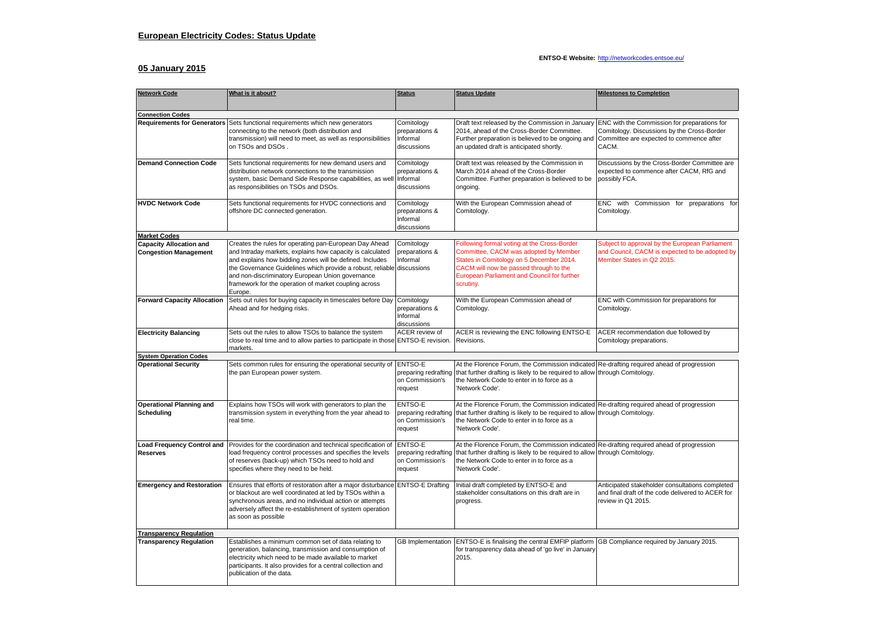## **ENTSO-E Website:** <http://networkcodes.entsoe.eu/>

## **05 January 2015**

| <b>Network Code</b>                                            | What is it about?                                                                                                                                                                                                                                                                                                                                                                 | <b>Status</b>                                                 | <b>Status Update</b>                                                                                                                                                                                                                          | <b>Milestones to Completion</b>                                                                                               |  |  |  |
|----------------------------------------------------------------|-----------------------------------------------------------------------------------------------------------------------------------------------------------------------------------------------------------------------------------------------------------------------------------------------------------------------------------------------------------------------------------|---------------------------------------------------------------|-----------------------------------------------------------------------------------------------------------------------------------------------------------------------------------------------------------------------------------------------|-------------------------------------------------------------------------------------------------------------------------------|--|--|--|
| <b>Connection Codes</b>                                        |                                                                                                                                                                                                                                                                                                                                                                                   |                                                               |                                                                                                                                                                                                                                               |                                                                                                                               |  |  |  |
| <b>Requirements for Generators</b>                             | Sets functional requirements which new generators<br>connecting to the network (both distribution and<br>transmission) will need to meet, as well as responsibilities<br>on TSOs and DSOs.                                                                                                                                                                                        | Comitology<br>preparations &<br>Informal<br>discussions       | Draft text released by the Commission in January ENC with the Commission for preparations for<br>2014, ahead of the Cross-Border Committee.<br>Further preparation is believed to be ongoing and<br>an updated draft is anticipated shortly.  | Comitology. Discussions by the Cross-Border<br>Committee are expected to commence after<br>CACM.                              |  |  |  |
| <b>Demand Connection Code</b>                                  | Sets functional requirements for new demand users and<br>distribution network connections to the transmission<br>system, basic Demand Side Response capabilities, as well<br>as responsibilities on TSOs and DSOs.                                                                                                                                                                | Comitology<br>preparations &<br>Informal<br>discussions       | Draft text was released by the Commission in<br>March 2014 ahead of the Cross-Border<br>Committee. Further preparation is believed to be<br>ongoing.                                                                                          | Discussions by the Cross-Border Committee are<br>expected to commence after CACM, RfG and<br>possibly FCA.                    |  |  |  |
| <b>HVDC Network Code</b>                                       | Sets functional requirements for HVDC connections and<br>offshore DC connected generation.                                                                                                                                                                                                                                                                                        | Comitology<br>preparations &<br>Informal<br>discussions       | With the European Commission ahead of<br>Comitology.                                                                                                                                                                                          | ENC with Commission for preparations for<br>Comitology.                                                                       |  |  |  |
| <b>Market Codes</b>                                            |                                                                                                                                                                                                                                                                                                                                                                                   |                                                               |                                                                                                                                                                                                                                               |                                                                                                                               |  |  |  |
| <b>Capacity Allocation and</b><br><b>Congestion Management</b> | Creates the rules for operating pan-European Day Ahead<br>and Intraday markets, explains how capacity is calculated<br>and explains how bidding zones will be defined. Includes<br>the Governance Guidelines which provide a robust, reliable discussions<br>and non-discriminatory European Union governance<br>framework for the operation of market coupling across<br>Europe. | Comitology<br>preparations &<br>Informal                      | Following formal voting at the Cross-Border<br>Committee, CACM was adopted by Member<br>States in Comitology on 5 December 2014.<br>CACM will now be passed through to the<br><b>European Parliament and Council for further</b><br>scrutiny. | Subject to approval by the European Parliament<br>and Council, CACM is expected to be adopted by<br>Member States in Q2 2015. |  |  |  |
| <b>Forward Capacity Allocation</b>                             | Sets out rules for buying capacity in timescales before Day<br>Ahead and for hedging risks.                                                                                                                                                                                                                                                                                       | Comitology<br>preparations &<br>Informal<br>discussions       | With the European Commission ahead of<br>Comitology.                                                                                                                                                                                          | ENC with Commission for preparations for<br>Comitology.                                                                       |  |  |  |
| <b>Electricity Balancing</b>                                   | Sets out the rules to allow TSOs to balance the system<br>close to real time and to allow parties to participate in those ENTSO-E revision.<br>markets.                                                                                                                                                                                                                           | ACER review of                                                | ACER is reviewing the ENC following ENTSO-E<br>Revisions.                                                                                                                                                                                     | ACER recommendation due followed by<br>Comitology preparations.                                                               |  |  |  |
| <b>System Operation Codes</b>                                  |                                                                                                                                                                                                                                                                                                                                                                                   |                                                               |                                                                                                                                                                                                                                               |                                                                                                                               |  |  |  |
| <b>Operational Security</b>                                    | Sets common rules for ensuring the operational security of ENTSO-E<br>the pan European power system.                                                                                                                                                                                                                                                                              | preparing redrafting<br>on Commission's<br>request            | At the Florence Forum, the Commission indicated Re-drafting required ahead of progression<br>that further drafting is likely to be required to allow through Comitology.<br>the Network Code to enter in to force as a<br>'Network Code'.     |                                                                                                                               |  |  |  |
| <b>Operational Planning and</b><br>Scheduling                  | Explains how TSOs will work with generators to plan the<br>transmission system in everything from the year ahead to<br>real time.                                                                                                                                                                                                                                                 | ENTSO-E<br>preparing redrafting<br>on Commission's<br>request | At the Florence Forum, the Commission indicated Re-drafting required ahead of progression<br>that further drafting is likely to be required to allow through Comitology.<br>the Network Code to enter in to force as a<br>'Network Code'.     |                                                                                                                               |  |  |  |
| <b>Load Frequency Control and</b><br><b>Reserves</b>           | Provides for the coordination and technical specification of<br>load frequency control processes and specifies the levels<br>of reserves (back-up) which TSOs need to hold and<br>specifies where they need to be held.                                                                                                                                                           | ENTSO-E<br>preparing redrafting<br>on Commission's<br>request | At the Florence Forum, the Commission indicated Re-drafting required ahead of progression<br>that further drafting is likely to be required to allow through Comitology.<br>the Network Code to enter in to force as a<br>'Network Code'.     |                                                                                                                               |  |  |  |
| <b>Emergency and Restoration</b>                               | Ensures that efforts of restoration after a major disturbance<br>or blackout are well coordinated at led by TSOs within a<br>synchronous areas, and no individual action or attempts<br>adversely affect the re-establishment of system operation<br>as soon as possible                                                                                                          | <b>ENTSO-E Drafting</b>                                       | Initial draft completed by ENTSO-E and<br>stakeholder consultations on this draft are in<br>progress.                                                                                                                                         | Anticipated stakeholder consultations completed<br>and final draft of the code delivered to ACER for<br>review in Q1 2015.    |  |  |  |
| <b>Transparency Regulation</b>                                 |                                                                                                                                                                                                                                                                                                                                                                                   |                                                               |                                                                                                                                                                                                                                               |                                                                                                                               |  |  |  |
| <b>Transparency Regulation</b>                                 | Establishes a minimum common set of data relating to<br>generation, balancing, transmission and consumption of<br>electricity which need to be made available to market<br>participants. It also provides for a central collection and<br>publication of the data.                                                                                                                | <b>GB</b> Implementation                                      | ENTSO-E is finalising the central EMFIP platform GB Compliance required by January 2015.<br>for transparency data ahead of 'go live' in January<br>2015.                                                                                      |                                                                                                                               |  |  |  |